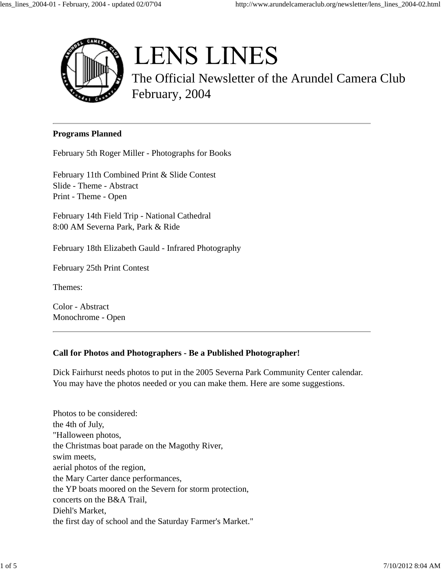

# **LENS LINES**

The Official Newsletter of the Arundel Camera Club February, 2004

#### **Programs Planned**

February 5th Roger Miller - Photographs for Books

February 11th Combined Print & Slide Contest Slide - Theme - Abstract Print - Theme - Open

February 14th Field Trip - National Cathedral 8:00 AM Severna Park, Park & Ride

February 18th Elizabeth Gauld - Infrared Photography

February 25th Print Contest

Themes:

Color - Abstract Monochrome - Open

## **Call for Photos and Photographers - Be a Published Photographer!**

Dick Fairhurst needs photos to put in the 2005 Severna Park Community Center calendar. You may have the photos needed or you can make them. Here are some suggestions.

Photos to be considered: the 4th of July, "Halloween photos, the Christmas boat parade on the Magothy River, swim meets, aerial photos of the region, the Mary Carter dance performances, the YP boats moored on the Severn for storm protection, concerts on the B&A Trail, Diehl's Market, the first day of school and the Saturday Farmer's Market."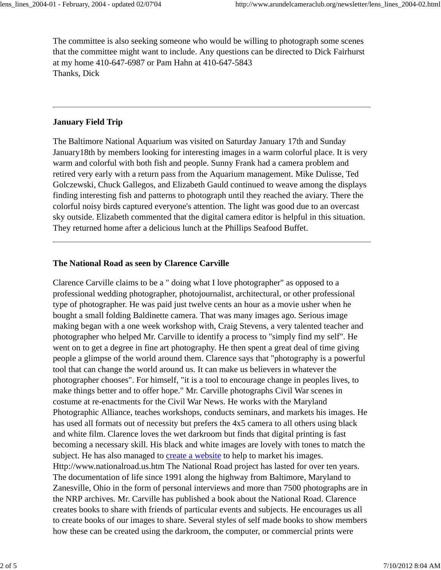The committee is also seeking someone who would be willing to photograph some scenes that the committee might want to include. Any questions can be directed to Dick Fairhurst at my home 410-647-6987 or Pam Hahn at 410-647-5843 Thanks, Dick

### **January Field Trip**

The Baltimore National Aquarium was visited on Saturday January 17th and Sunday January18th by members looking for interesting images in a warm colorful place. It is very warm and colorful with both fish and people. Sunny Frank had a camera problem and retired very early with a return pass from the Aquarium management. Mike Dulisse, Ted Golczewski, Chuck Gallegos, and Elizabeth Gauld continued to weave among the displays finding interesting fish and patterns to photograph until they reached the aviary. There the colorful noisy birds captured everyone's attention. The light was good due to an overcast sky outside. Elizabeth commented that the digital camera editor is helpful in this situation. They returned home after a delicious lunch at the Phillips Seafood Buffet.

## **The National Road as seen by Clarence Carville**

Clarence Carville claims to be a " doing what I love photographer" as opposed to a professional wedding photographer, photojournalist, architectural, or other professional type of photographer. He was paid just twelve cents an hour as a movie usher when he bought a small folding Baldinette camera. That was many images ago. Serious image making began with a one week workshop with, Craig Stevens, a very talented teacher and photographer who helped Mr. Carville to identify a process to "simply find my self". He went on to get a degree in fine art photography. He then spent a great deal of time giving people a glimpse of the world around them. Clarence says that "photography is a powerful tool that can change the world around us. It can make us believers in whatever the photographer chooses". For himself, "it is a tool to encourage change in peoples lives, to make things better and to offer hope." Mr. Carville photographs Civil War scenes in costume at re-enactments for the Civil War News. He works with the Maryland Photographic Alliance, teaches workshops, conducts seminars, and markets his images. He has used all formats out of necessity but prefers the 4x5 camera to all others using black and white film. Clarence loves the wet darkroom but finds that digital printing is fast becoming a necessary skill. His black and white images are lovely with tones to match the subject. He has also managed to create a website to help to market his images. Http://www.nationalroad.us.htm The National Road project has lasted for over ten years. The documentation of life since 1991 along the highway from Baltimore, Maryland to Zanesville, Ohio in the form of personal interviews and more than 7500 photographs are in the NRP archives. Mr. Carville has published a book about the National Road. Clarence creates books to share with friends of particular events and subjects. He encourages us all to create books of our images to share. Several styles of self made books to show members how these can be created using the darkroom, the computer, or commercial prints were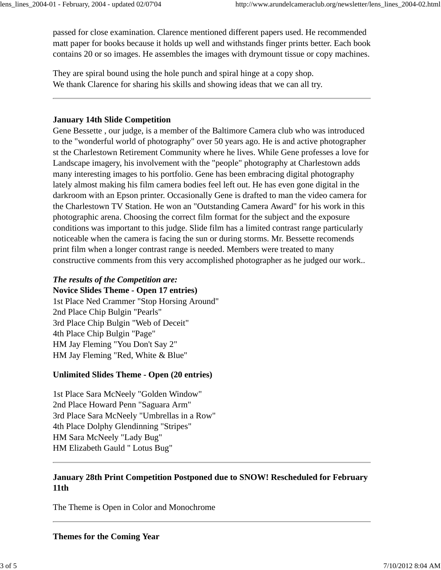passed for close examination. Clarence mentioned different papers used. He recommended matt paper for books because it holds up well and withstands finger prints better. Each book contains 20 or so images. He assembles the images with drymount tissue or copy machines.

They are spiral bound using the hole punch and spiral hinge at a copy shop. We thank Clarence for sharing his skills and showing ideas that we can all try.

#### **January 14th Slide Competition**

Gene Bessette , our judge, is a member of the Baltimore Camera club who was introduced to the "wonderful world of photography" over 50 years ago. He is and active photographer st the Charlestown Retirement Community where he lives. While Gene professes a love for Landscape imagery, his involvement with the "people" photography at Charlestown adds many interesting images to his portfolio. Gene has been embracing digital photography lately almost making his film camera bodies feel left out. He has even gone digital in the darkroom with an Epson printer. Occasionally Gene is drafted to man the video camera for the Charlestown TV Station. He won an "Outstanding Camera Award" for his work in this photographic arena. Choosing the correct film format for the subject and the exposure conditions was important to this judge. Slide film has a limited contrast range particularly noticeable when the camera is facing the sun or during storms. Mr. Bessette recomends print film when a longer contrast range is needed. Members were treated to many constructive comments from this very accomplished photographer as he judged our work..

## *The results of the Competition are:*

**Novice Slides Theme - Open 17 entries)**

1st Place Ned Crammer "Stop Horsing Around" 2nd Place Chip Bulgin "Pearls" 3rd Place Chip Bulgin "Web of Deceit" 4th Place Chip Bulgin "Page" HM Jay Fleming "You Don't Say 2" HM Jay Fleming "Red, White & Blue"

#### **Unlimited Slides Theme - Open (20 entries)**

1st Place Sara McNeely "Golden Window" 2nd Place Howard Penn "Saguara Arm" 3rd Place Sara McNeely "Umbrellas in a Row" 4th Place Dolphy Glendinning "Stripes" HM Sara McNeely "Lady Bug" HM Elizabeth Gauld " Lotus Bug"

## **January 28th Print Competition Postponed due to SNOW! Rescheduled for February 11th**

The Theme is Open in Color and Monochrome

**Themes for the Coming Year**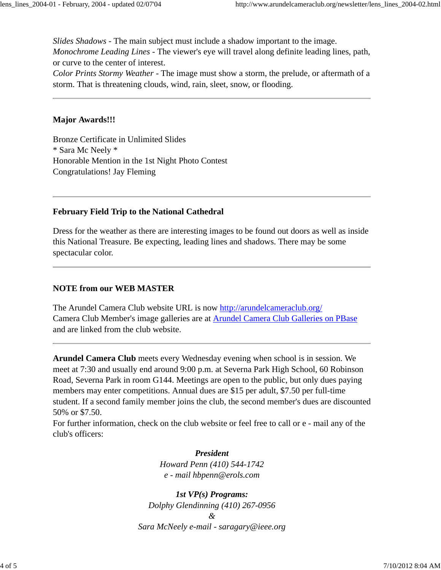*Slides Shadows* - The main subject must include a shadow important to the image. *Monochrome Leading Lines* - The viewer's eye will travel along definite leading lines, path, or curve to the center of interest.

*Color Prints Stormy Weather* - The image must show a storm, the prelude, or aftermath of a storm. That is threatening clouds, wind, rain, sleet, snow, or flooding.

#### **Major Awards!!!**

Bronze Certificate in Unlimited Slides \* Sara Mc Neely \* Honorable Mention in the 1st Night Photo Contest Congratulations! Jay Fleming

#### **February Field Trip to the National Cathedral**

Dress for the weather as there are interesting images to be found out doors as well as inside this National Treasure. Be expecting, leading lines and shadows. There may be some spectacular color.

#### **NOTE from our WEB MASTER**

The Arundel Camera Club website URL is now http://arundelcameraclub.org/ Camera Club Member's image galleries are at Arundel Camera Club Galleries on PBase and are linked from the club website.

**Arundel Camera Club** meets every Wednesday evening when school is in session. We meet at 7:30 and usually end around 9:00 p.m. at Severna Park High School, 60 Robinson Road, Severna Park in room G144. Meetings are open to the public, but only dues paying members may enter competitions. Annual dues are \$15 per adult, \$7.50 per full-time student. If a second family member joins the club, the second member's dues are discounted 50% or \$7.50.

For further information, check on the club website or feel free to call or e - mail any of the club's officers:

> *President Howard Penn (410) 544-1742 e - mail hbpenn@erols.com*

*1st VP(s) Programs: Dolphy Glendinning (410) 267-0956 & Sara McNeely e-mail - saragary@ieee.org*